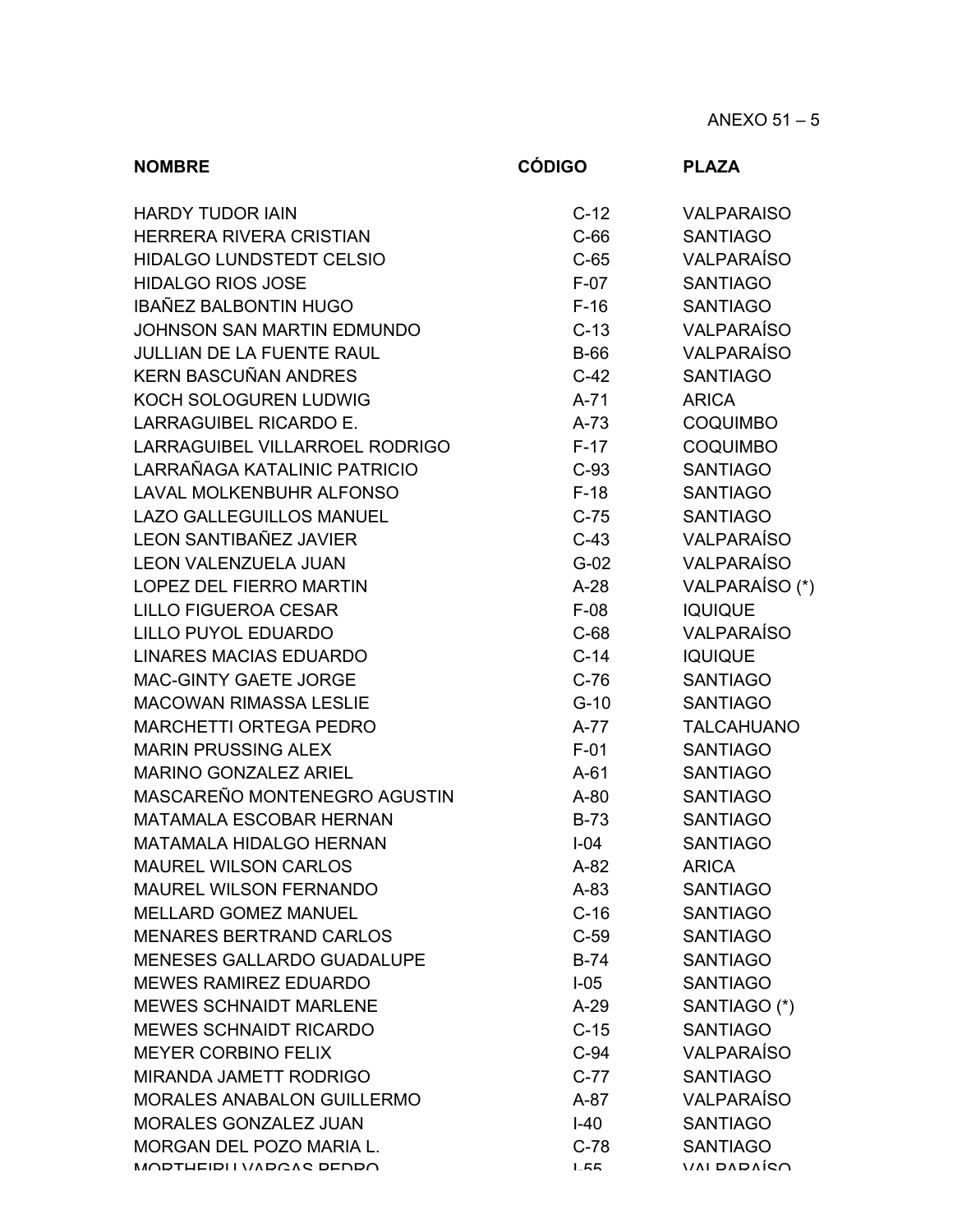| <b>NOMBRE</b>                     | <b>CÓDIGO</b> | <b>PLAZA</b>      |
|-----------------------------------|---------------|-------------------|
| <b>HARDY TUDOR IAIN</b>           | $C-12$        | <b>VALPARAISO</b> |
| <b>HERRERA RIVERA CRISTIAN</b>    | $C-66$        | <b>SANTIAGO</b>   |
| <b>HIDALGO LUNDSTEDT CELSIO</b>   | $C-65$        | <b>VALPARAÍSO</b> |
| <b>HIDALGO RIOS JOSE</b>          | $F-07$        | <b>SANTIAGO</b>   |
| IBAÑEZ BALBONTIN HUGO             | $F-16$        | <b>SANTIAGO</b>   |
| JOHNSON SAN MARTIN EDMUNDO        | $C-13$        | <b>VALPARAÍSO</b> |
| <b>JULLIAN DE LA FUENTE RAUL</b>  | <b>B-66</b>   | <b>VALPARAÍSO</b> |
| <b>KERN BASCUÑAN ANDRES</b>       | $C-42$        | <b>SANTIAGO</b>   |
| KOCH SOLOGUREN LUDWIG             | $A-71$        | <b>ARICA</b>      |
| <b>LARRAGUIBEL RICARDO E.</b>     | $A-73$        | <b>COQUIMBO</b>   |
| LARRAGUIBEL VILLARROEL RODRIGO    | $F-17$        | <b>COQUIMBO</b>   |
| LARRAÑAGA KATALINIC PATRICIO      | $C-93$        | <b>SANTIAGO</b>   |
| <b>LAVAL MOLKENBUHR ALFONSO</b>   | $F-18$        | <b>SANTIAGO</b>   |
| <b>LAZO GALLEGUILLOS MANUEL</b>   | $C-75$        | <b>SANTIAGO</b>   |
| <b>LEON SANTIBAÑEZ JAVIER</b>     | $C-43$        | <b>VALPARAÍSO</b> |
| <b>LEON VALENZUELA JUAN</b>       | $G-02$        | <b>VALPARAÍSO</b> |
| <b>LOPEZ DEL FIERRO MARTIN</b>    | $A-28$        | VALPARAÍSO (*)    |
| <b>LILLO FIGUEROA CESAR</b>       | $F-08$        | <b>IQUIQUE</b>    |
| <b>LILLO PUYOL EDUARDO</b>        | $C-68$        | <b>VALPARAÍSO</b> |
| <b>LINARES MACIAS EDUARDO</b>     | $C-14$        | <b>IQUIQUE</b>    |
| MAC-GINTY GAETE JORGE             | $C-76$        | <b>SANTIAGO</b>   |
| <b>MACOWAN RIMASSA LESLIE</b>     | $G-10$        | <b>SANTIAGO</b>   |
| <b>MARCHETTI ORTEGA PEDRO</b>     | $A-77$        | <b>TALCAHUANO</b> |
| <b>MARIN PRUSSING ALEX</b>        | $F-01$        | <b>SANTIAGO</b>   |
| <b>MARINO GONZALEZ ARIEL</b>      | $A-61$        | <b>SANTIAGO</b>   |
| MASCAREÑO MONTENEGRO AGUSTIN      | $A-80$        | <b>SANTIAGO</b>   |
| <b>MATAMALA ESCOBAR HERNAN</b>    | $B-73$        | <b>SANTIAGO</b>   |
| <b>MATAMALA HIDALGO HERNAN</b>    | $I - 04$      | <b>SANTIAGO</b>   |
| <b>MAUREL WILSON CARLOS</b>       | $A-82$        | <b>ARICA</b>      |
| <b>MAUREL WILSON FERNANDO</b>     | $A-83$        | <b>SANTIAGO</b>   |
| <b>MELLARD GOMEZ MANUEL</b>       | $C-16$        | <b>SANTIAGO</b>   |
| <b>MENARES BERTRAND CARLOS</b>    | $C-59$        | <b>SANTIAGO</b>   |
| MENESES GALLARDO GUADALUPE        | $B-74$        | <b>SANTIAGO</b>   |
| <b>MEWES RAMIREZ EDUARDO</b>      | $I-05$        | <b>SANTIAGO</b>   |
| <b>MEWES SCHNAIDT MARLENE</b>     | $A-29$        | SANTIAGO (*)      |
| <b>MEWES SCHNAIDT RICARDO</b>     | $C-15$        | <b>SANTIAGO</b>   |
| <b>MEYER CORBINO FELIX</b>        | $C-94$        | <b>VALPARAÍSO</b> |
| <b>MIRANDA JAMETT RODRIGO</b>     | $C-77$        | <b>SANTIAGO</b>   |
| <b>MORALES ANABALON GUILLERMO</b> | $A-87$        | <b>VALPARAÍSO</b> |
| MORALES GONZALEZ JUAN             | $I-40$        | <b>SANTIAGO</b>   |
| <b>MORGAN DEL POZO MARIA L.</b>   | $C-78$        | <b>SANTIAGO</b>   |
| MODTUEIDI I VADCAS DENDO          | I E           | $VAI$ DADAÍCA     |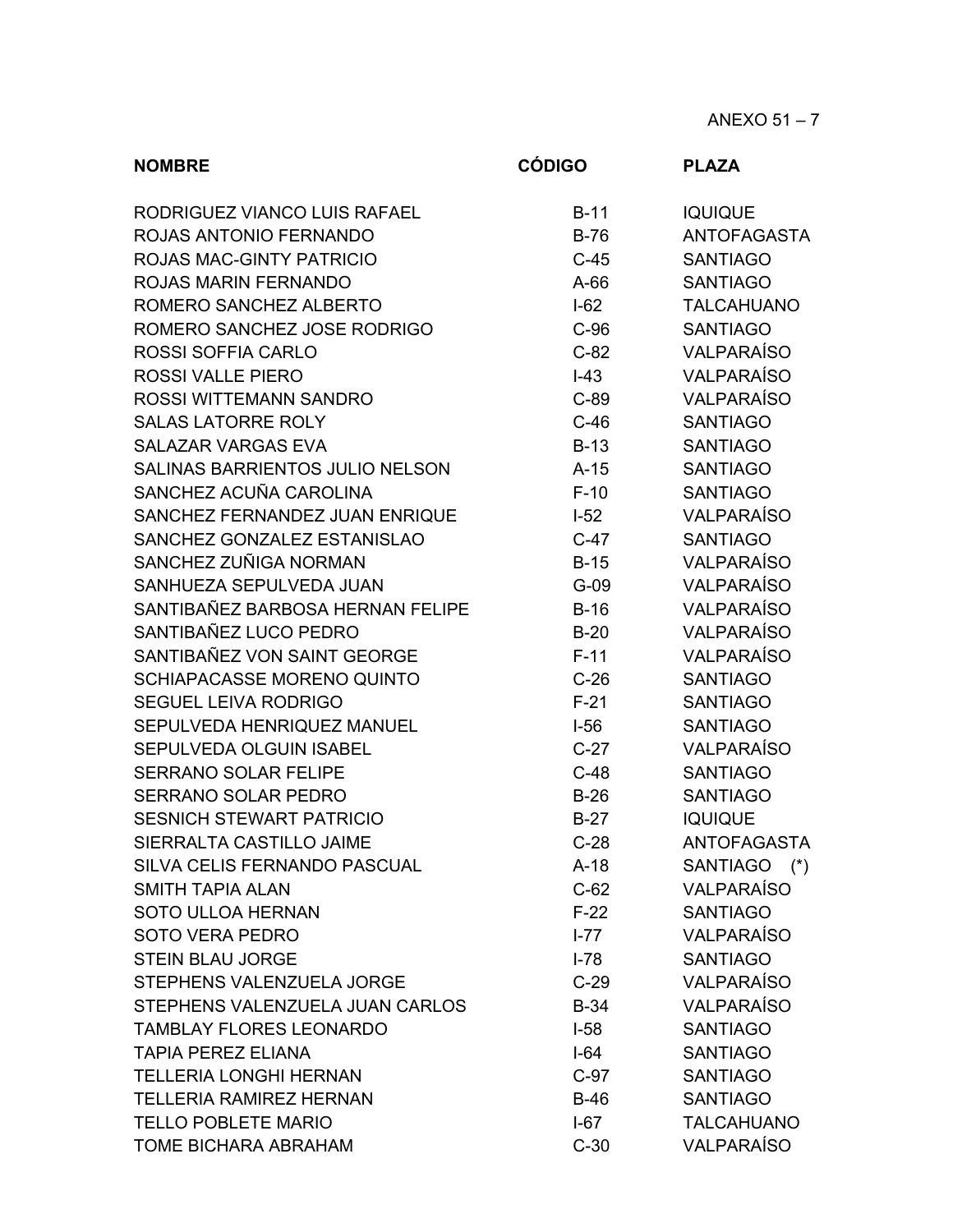ANEXO 51 – 7

| <b>NOMBRE</b>                     | <b>CÓDIGO</b> | <b>PLAZA</b>                 |
|-----------------------------------|---------------|------------------------------|
| RODRIGUEZ VIANCO LUIS RAFAEL      | $B-11$        | <b>IQUIQUE</b>               |
| ROJAS ANTONIO FERNANDO            | $B-76$        | <b>ANTOFAGASTA</b>           |
| <b>ROJAS MAC-GINTY PATRICIO</b>   | $C-45$        | <b>SANTIAGO</b>              |
| <b>ROJAS MARIN FERNANDO</b>       | $A-66$        | <b>SANTIAGO</b>              |
| ROMERO SANCHEZ ALBERTO            | $I-62$        | <b>TALCAHUANO</b>            |
| ROMERO SANCHEZ JOSE RODRIGO       | $C-96$        | <b>SANTIAGO</b>              |
| <b>ROSSI SOFFIA CARLO</b>         | $C-82$        | <b>VALPARAÍSO</b>            |
| <b>ROSSI VALLE PIERO</b>          | $I-43$        | <b>VALPARAÍSO</b>            |
| ROSSI WITTEMANN SANDRO            | $C-89$        | <b>VALPARAÍSO</b>            |
| <b>SALAS LATORRE ROLY</b>         | $C-46$        | <b>SANTIAGO</b>              |
| <b>SALAZAR VARGAS EVA</b>         | $B-13$        | <b>SANTIAGO</b>              |
| SALINAS BARRIENTOS JULIO NELSON   | $A-15$        | <b>SANTIAGO</b>              |
| SANCHEZ ACUÑA CAROLINA            | $F-10$        | <b>SANTIAGO</b>              |
| SANCHEZ FERNANDEZ JUAN ENRIQUE    | $I-52$        | <b>VALPARAÍSO</b>            |
| SANCHEZ GONZALEZ ESTANISLAO       | $C-47$        | <b>SANTIAGO</b>              |
| SANCHEZ ZUÑIGA NORMAN             | $B-15$        | <b>VALPARAÍSO</b>            |
| SANHUEZA SEPULVEDA JUAN           | $G-09$        | <b>VALPARAÍSO</b>            |
| SANTIBAÑEZ BARBOSA HERNAN FELIPE  | $B-16$        | <b>VALPARAÍSO</b>            |
| SANTIBAÑEZ LUCO PEDRO             | $B-20$        | <b>VALPARAÍSO</b>            |
| SANTIBAÑEZ VON SAINT GEORGE       | $F-11$        | <b>VALPARAÍSO</b>            |
| <b>SCHIAPACASSE MORENO QUINTO</b> | $C-26$        | <b>SANTIAGO</b>              |
| <b>SEGUEL LEIVA RODRIGO</b>       | $F-21$        | <b>SANTIAGO</b>              |
| SEPULVEDA HENRIQUEZ MANUEL        | $I-56$        | <b>SANTIAGO</b>              |
| SEPULVEDA OLGUIN ISABEL           | $C-27$        | <b>VALPARAÍSO</b>            |
| <b>SERRANO SOLAR FELIPE</b>       | $C-48$        | <b>SANTIAGO</b>              |
| <b>SERRANO SOLAR PEDRO</b>        | $B-26$        | <b>SANTIAGO</b>              |
| <b>SESNICH STEWART PATRICIO</b>   | $B-27$        | <b>IQUIQUE</b>               |
| SIERRALTA CASTILLO JAIME          | $C-28$        | <b>ANTOFAGASTA</b>           |
| SILVA CELIS FERNANDO PASCUAL      | $A-18$        | <b>SANTIAGO</b><br>$(\star)$ |
| <b>SMITH TAPIA ALAN</b>           | $C-62$        | <b>VALPARAÍSO</b>            |
| <b>SOTO ULLOA HERNAN</b>          | $F-22$        | <b>SANTIAGO</b>              |
| <b>SOTO VERA PEDRO</b>            | $I - 77$      | <b>VALPARAÍSO</b>            |
| <b>STEIN BLAU JORGE</b>           | $I-78$        | <b>SANTIAGO</b>              |
| STEPHENS VALENZUELA JORGE         | $C-29$        | <b>VALPARAÍSO</b>            |
| STEPHENS VALENZUELA JUAN CARLOS   | $B-34$        | <b>VALPARAÍSO</b>            |
| <b>TAMBLAY FLORES LEONARDO</b>    | $I-58$        | <b>SANTIAGO</b>              |
| <b>TAPIA PEREZ ELIANA</b>         | $I-64$        | <b>SANTIAGO</b>              |
| <b>TELLERIA LONGHI HERNAN</b>     | $C-97$        | <b>SANTIAGO</b>              |
| <b>TELLERIA RAMIREZ HERNAN</b>    | $B-46$        | <b>SANTIAGO</b>              |
| <b>TELLO POBLETE MARIO</b>        | $I-67$        | <b>TALCAHUANO</b>            |
| <b>TOME BICHARA ABRAHAM</b>       | $C-30$        | <b>VALPARAÍSO</b>            |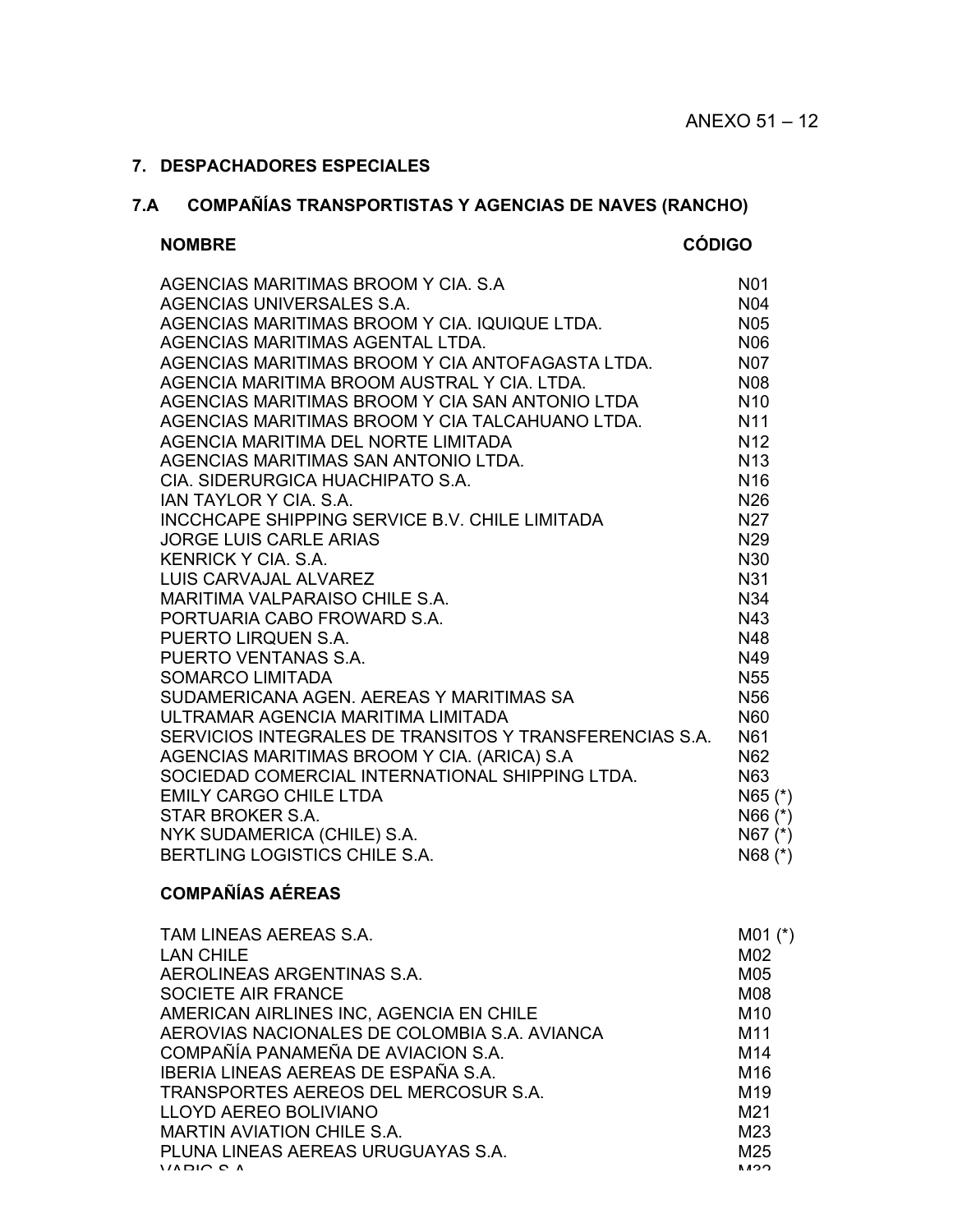## **7. DESPACHADORES ESPECIALES**

# **7.A COMPAÑÍAS TRANSPORTISTAS Y AGENCIAS DE NAVES (RANCHO)**

### **NOMBRE CÓDIGO**

| AGENCIAS MARITIMAS BROOM Y CIA. S.A                     | N <sub>0</sub> 1 |
|---------------------------------------------------------|------------------|
| AGENCIAS UNIVERSALES S.A.                               | <b>N04</b>       |
| AGENCIAS MARITIMAS BROOM Y CIA. IQUIQUE LTDA.           | <b>N05</b>       |
| AGENCIAS MARITIMAS AGENTAL LTDA.                        | <b>N06</b>       |
| AGENCIAS MARITIMAS BROOM Y CIA ANTOFAGASTA LTDA.        | <b>N07</b>       |
| AGENCIA MARITIMA BROOM AUSTRAL Y CIA, LTDA.             | N08              |
| AGENCIAS MARITIMAS BROOM Y CIA SAN ANTONIO LTDA         | N <sub>10</sub>  |
| AGENCIAS MARITIMAS BROOM Y CIA TALCAHUANO LTDA.         | <b>N11</b>       |
| AGENCIA MARITIMA DEL NORTE LIMITADA                     | N <sub>12</sub>  |
| AGENCIAS MARITIMAS SAN ANTONIO LTDA.                    | <b>N13</b>       |
| CIA. SIDERURGICA HUACHIPATO S.A.                        | N <sub>16</sub>  |
| <b>JAN TAYLOR Y CIA, S.A.</b>                           | N <sub>26</sub>  |
| INCCHCAPE SHIPPING SERVICE B.V. CHILE LIMITADA          | N <sub>27</sub>  |
| <b>JORGE LUIS CARLE ARIAS</b>                           | N <sub>29</sub>  |
| <b>KENRICK Y CIA, S.A.</b>                              | N30              |
| LUIS CARVAJAL ALVAREZ                                   | <b>N31</b>       |
| MARITIMA VALPARAISO CHILE S.A.                          | N34              |
| PORTUARIA CABO FROWARD S.A.                             | N43              |
| PUERTO LIRQUEN S.A.                                     | N48              |
| PUERTO VENTANAS S.A.                                    | N49              |
| <b>SOMARCO LIMITADA</b>                                 | <b>N55</b>       |
| SUDAMERICANA AGEN, AEREAS Y MARITIMAS SA                | <b>N56</b>       |
| ULTRAMAR AGENCIA MARITIMA LIMITADA                      | <b>N60</b>       |
| SERVICIOS INTEGRALES DE TRANSITOS Y TRANSFERENCIAS S.A. | N61              |
| AGENCIAS MARITIMAS BROOM Y CIA. (ARICA) S.A             | N <sub>62</sub>  |
| SOCIEDAD COMERCIAL INTERNATIONAL SHIPPING LTDA.         | N63              |
| <b>EMILY CARGO CHILE LTDA</b>                           | $N65$ (*)        |
| STAR BROKER S.A.                                        | $N66$ (*)        |
| NYK SUDAMERICA (CHILE) S.A.                             | $N67$ $(*)$      |
| BERTLING LOGISTICS CHILE S.A.                           | N68 (*)          |

# **COMPAÑÍAS AÉREAS**

| TAM LINEAS AEREAS S.A.                       | $M01$ (*)       |
|----------------------------------------------|-----------------|
| <b>LAN CHILE</b>                             | M02             |
| AEROLINEAS ARGENTINAS S.A.                   | M05             |
| SOCIETE AIR FRANCE                           | M08             |
| AMERICAN AIRLINES INC, AGENCIA EN CHILE      | M <sub>10</sub> |
| AEROVIAS NACIONALES DE COLOMBIA S.A. AVIANCA | M11             |
| COMPAÑÍA PANAMEÑA DE AVIACION S.A.           | M <sub>14</sub> |
| IBERIA LINEAS AEREAS DE ESPAÑA S.A.          | M <sub>16</sub> |
| TRANSPORTES AEREOS DEL MERCOSUR S.A.         | M <sub>19</sub> |
| <b>LLOYD AEREO BOLIVIANO</b>                 | M <sub>21</sub> |
| <b>MARTIN AVIATION CHILE S.A.</b>            | M23             |
| PLUNA LINEAS AEREAS URUGUAYAS S.A.           | M <sub>25</sub> |
| 1100000                                      | いいへ             |
|                                              |                 |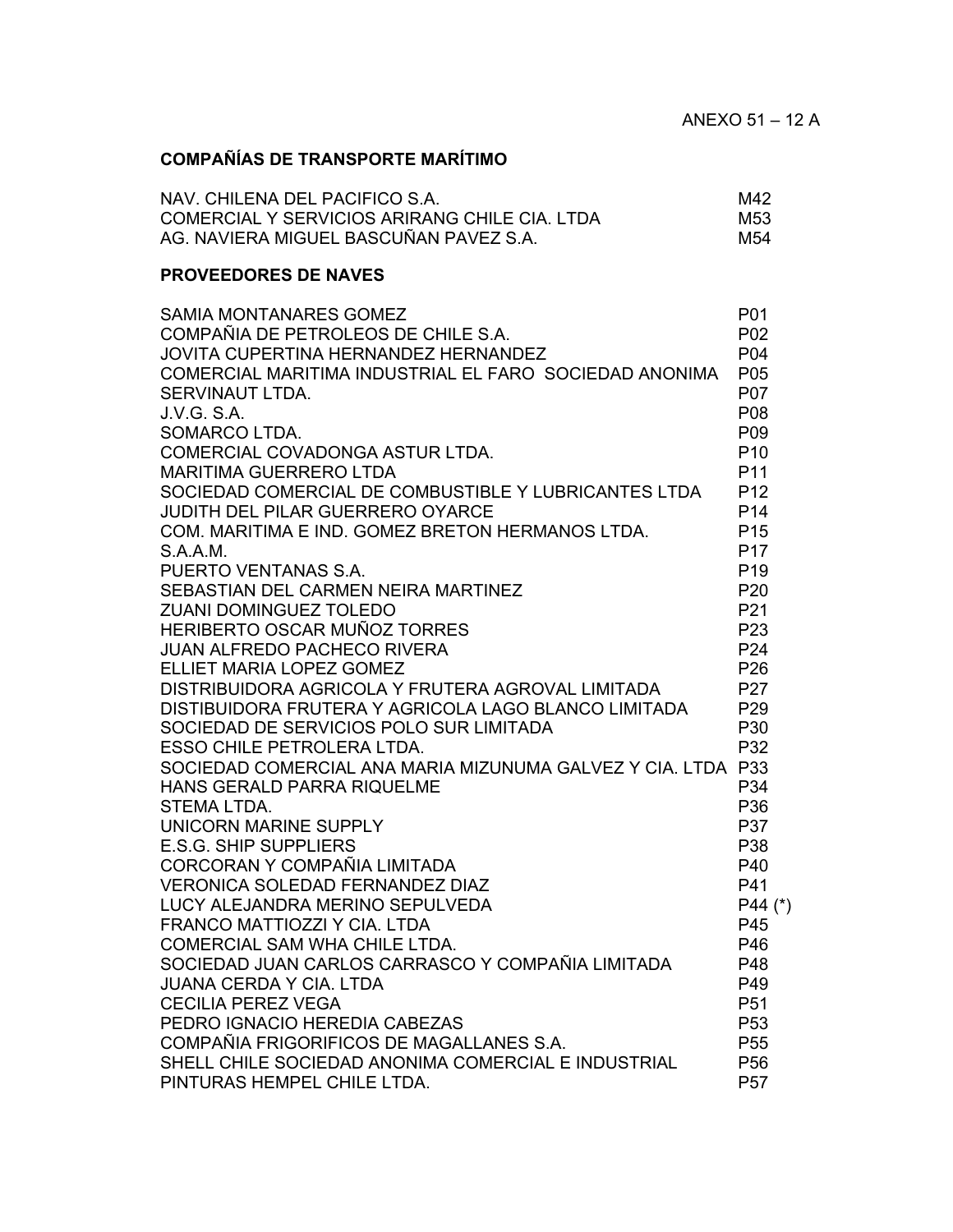# **COMPAÑÍAS DE TRANSPORTE MARÍTIMO**

| NAV. CHILENA DEL PACIFICO S.A.                | M42 |
|-----------------------------------------------|-----|
| COMERCIAL Y SERVICIOS ARIRANG CHILE CIA. LTDA | M53 |
| AG. NAVIERA MIGUEL BASCUÑAN PAVEZ S.A.        | M54 |

### **PROVEEDORES DE NAVES**

| <b>SAMIA MONTANARES GOMEZ</b>                                | P01             |
|--------------------------------------------------------------|-----------------|
| COMPAÑIA DE PETROLEOS DE CHILE S.A.                          | P <sub>02</sub> |
| JOVITA CUPERTINA HERNANDEZ HERNANDEZ                         | P04             |
| COMERCIAL MARITIMA INDUSTRIAL EL FARO SOCIEDAD ANONIMA       | P <sub>05</sub> |
| SERVINAUT LTDA.                                              | <b>P07</b>      |
| J.V.G. S.A.                                                  | P08             |
| SOMARCO LTDA.                                                | P09             |
| COMERCIAL COVADONGA ASTUR LTDA.                              | P <sub>10</sub> |
| <b>MARITIMA GUERRERO LTDA</b>                                | P <sub>11</sub> |
| SOCIEDAD COMERCIAL DE COMBUSTIBLE Y LUBRICANTES LTDA         | P <sub>12</sub> |
| JUDITH DEL PILAR GUERRERO OYARCE                             | P <sub>14</sub> |
| COM. MARITIMA E IND. GOMEZ BRETON HERMANOS LTDA.             | P <sub>15</sub> |
| S.A.A.M.                                                     | P <sub>17</sub> |
| PUERTO VENTANAS S.A.                                         | P <sub>19</sub> |
| SEBASTIAN DEL CARMEN NEIRA MARTINEZ                          | P <sub>20</sub> |
| <b>ZUANI DOMINGUEZ TOLEDO</b>                                | P <sub>21</sub> |
| HERIBERTO OSCAR MUÑOZ TORRES                                 | P <sub>23</sub> |
| <b>JUAN ALFREDO PACHECO RIVERA</b>                           | P <sub>24</sub> |
| <b>ELLIET MARIA LOPEZ GOMEZ</b>                              | P <sub>26</sub> |
| DISTRIBUIDORA AGRICOLA Y FRUTERA AGROVAL LIMITADA            | <b>P27</b>      |
| DISTIBUIDORA FRUTERA Y AGRICOLA LAGO BLANCO LIMITADA         | P <sub>29</sub> |
| SOCIEDAD DE SERVICIOS POLO SUR LIMITADA                      | P30             |
| <b>ESSO CHILE PETROLERA LTDA.</b>                            | P32             |
| SOCIEDAD COMERCIAL ANA MARIA MIZUNUMA GALVEZ Y CIA. LTDA P33 |                 |
| HANS GERALD PARRA RIQUELME                                   | P34             |
| <b>STEMA LTDA.</b>                                           | P36             |
| UNICORN MARINE SUPPLY                                        | <b>P37</b>      |
| <b>E.S.G. SHIP SUPPLIERS</b>                                 | P38             |
| CORCORAN Y COMPAÑIA LIMITADA                                 | P40             |
| <b>VERONICA SOLEDAD FERNANDEZ DIAZ</b>                       | P41             |
| LUCY ALEJANDRA MERINO SEPULVEDA                              | P44 (*)         |
| FRANCO MATTIOZZI Y CIA. LTDA                                 | P45             |
| COMERCIAL SAM WHA CHILE LTDA.                                | P46             |
| SOCIEDAD JUAN CARLOS CARRASCO Y COMPAÑIA LIMITADA            | P48             |
| <b>JUANA CERDA Y CIA, LTDA</b>                               | P49             |
| <b>CECILIA PEREZ VEGA</b>                                    | P <sub>51</sub> |
| PEDRO IGNACIO HEREDIA CABEZAS                                | P <sub>53</sub> |
| COMPAÑIA FRIGORIFICOS DE MAGALLANES S.A.                     | P <sub>55</sub> |
| SHELL CHILE SOCIEDAD ANONIMA COMERCIAL E INDUSTRIAL          | P <sub>56</sub> |
| PINTURAS HEMPEL CHILE LTDA.                                  | <b>P57</b>      |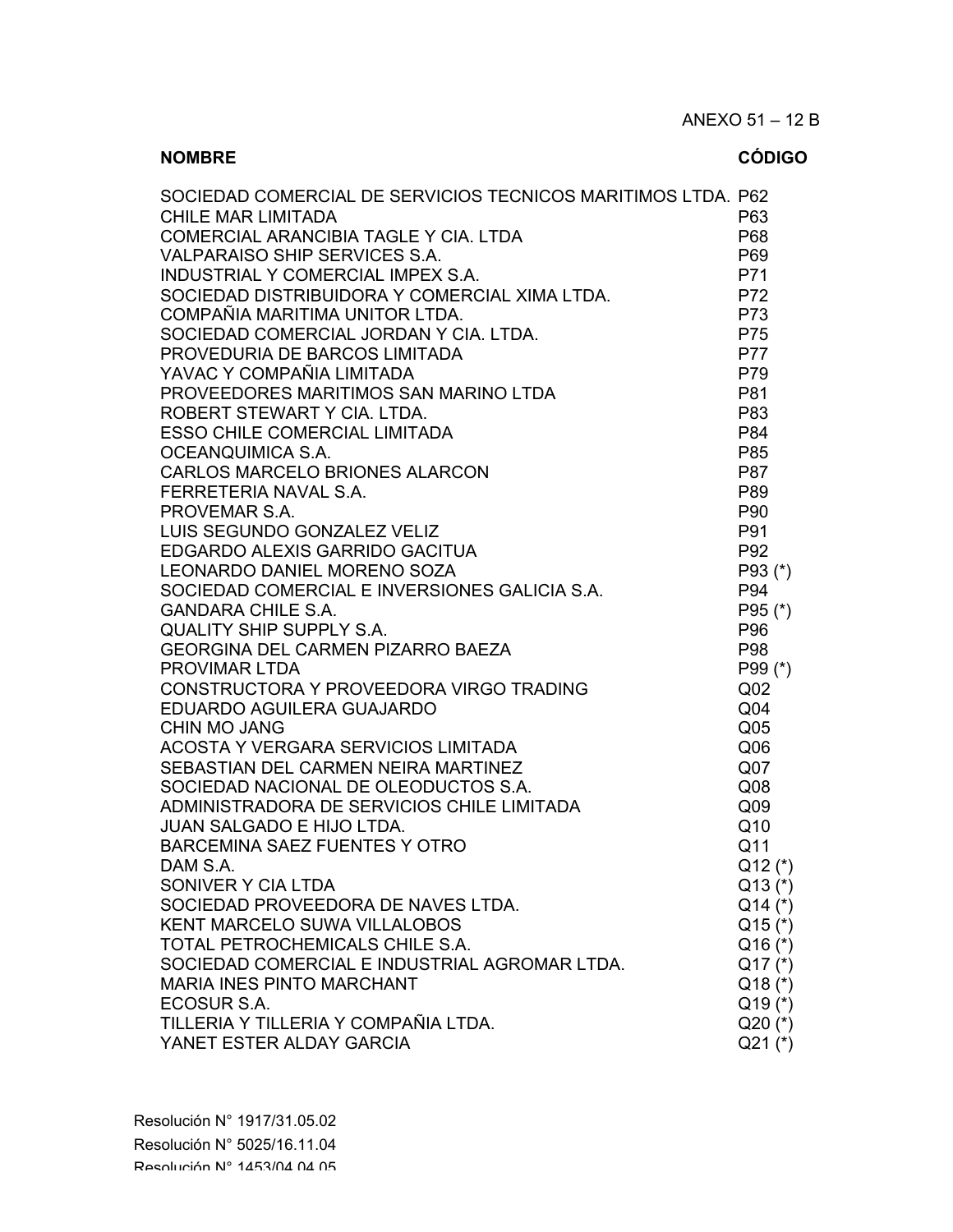| SOCIEDAD COMERCIAL DE SERVICIOS TECNICOS MARITIMOS LTDA. P62<br><b>CHILE MAR LIMITADA</b><br>COMERCIAL ARANCIBIA TAGLE Y CIA. LTDA<br><b>VALPARAISO SHIP SERVICES S.A.</b><br>INDUSTRIAL Y COMERCIAL IMPEX S.A.<br>SOCIEDAD DISTRIBUIDORA Y COMERCIAL XIMA LTDA.<br>COMPAÑIA MARITIMA UNITOR LTDA.<br>SOCIEDAD COMERCIAL JORDAN Y CIA. LTDA.<br>PROVEDURIA DE BARCOS LIMITADA<br>YAVAC Y COMPAÑIA LIMITADA<br>PROVEEDORES MARITIMOS SAN MARINO LTDA<br>ROBERT STEWART Y CIA. LTDA.<br><b>ESSO CHILE COMERCIAL LIMITADA</b><br>OCEANQUIMICA S.A.<br><b>CARLOS MARCELO BRIONES ALARCON</b><br>FERRETERIA NAVAL S.A.<br>PROVEMAR S.A.<br>LUIS SEGUNDO GONZALEZ VELIZ<br>EDGARDO ALEXIS GARRIDO GACITUA<br>LEONARDO DANIEL MORENO SOZA<br>SOCIEDAD COMERCIAL E INVERSIONES GALICIA S.A.<br><b>GANDARA CHILE S.A.</b><br><b>QUALITY SHIP SUPPLY S.A.</b><br><b>GEORGINA DEL CARMEN PIZARRO BAEZA</b><br><b>PROVIMAR LTDA</b><br>CONSTRUCTORA Y PROVEEDORA VIRGO TRADING<br>EDUARDO AGUILERA GUAJARDO<br><b>CHIN MO JANG</b><br>ACOSTA Y VERGARA SERVICIOS LIMITADA<br>SEBASTIAN DEL CARMEN NEIRA MARTINEZ<br>SOCIEDAD NACIONAL DE OLEODUCTOS S.A. | P63<br>P68<br>P69<br>P71<br>P72<br>P73<br>P75<br>P77<br>P79<br>P81<br>P83<br>P84<br>P85<br>P87<br>P89<br>P90<br>P91<br>P <sub>92</sub><br>$P93$ (*)<br>P94<br>P95 (*)<br>P96<br>P98<br>P99 (*)<br>Q <sub>02</sub><br>Q <sub>04</sub><br>Q <sub>05</sub><br>Q <sub>06</sub><br>Q <sub>07</sub><br>Q <sub>08</sub> |
|----------------------------------------------------------------------------------------------------------------------------------------------------------------------------------------------------------------------------------------------------------------------------------------------------------------------------------------------------------------------------------------------------------------------------------------------------------------------------------------------------------------------------------------------------------------------------------------------------------------------------------------------------------------------------------------------------------------------------------------------------------------------------------------------------------------------------------------------------------------------------------------------------------------------------------------------------------------------------------------------------------------------------------------------------------------------------------------------------------------------------------------------|------------------------------------------------------------------------------------------------------------------------------------------------------------------------------------------------------------------------------------------------------------------------------------------------------------------|
|                                                                                                                                                                                                                                                                                                                                                                                                                                                                                                                                                                                                                                                                                                                                                                                                                                                                                                                                                                                                                                                                                                                                              |                                                                                                                                                                                                                                                                                                                  |
|                                                                                                                                                                                                                                                                                                                                                                                                                                                                                                                                                                                                                                                                                                                                                                                                                                                                                                                                                                                                                                                                                                                                              |                                                                                                                                                                                                                                                                                                                  |
|                                                                                                                                                                                                                                                                                                                                                                                                                                                                                                                                                                                                                                                                                                                                                                                                                                                                                                                                                                                                                                                                                                                                              |                                                                                                                                                                                                                                                                                                                  |
|                                                                                                                                                                                                                                                                                                                                                                                                                                                                                                                                                                                                                                                                                                                                                                                                                                                                                                                                                                                                                                                                                                                                              |                                                                                                                                                                                                                                                                                                                  |
| ADMINISTRADORA DE SERVICIOS CHILE LIMITADA                                                                                                                                                                                                                                                                                                                                                                                                                                                                                                                                                                                                                                                                                                                                                                                                                                                                                                                                                                                                                                                                                                   | Q <sub>09</sub>                                                                                                                                                                                                                                                                                                  |
| JUAN SALGADO E HIJO LTDA.                                                                                                                                                                                                                                                                                                                                                                                                                                                                                                                                                                                                                                                                                                                                                                                                                                                                                                                                                                                                                                                                                                                    | Q10                                                                                                                                                                                                                                                                                                              |
| <b>BARCEMINA SAEZ FUENTES Y OTRO</b>                                                                                                                                                                                                                                                                                                                                                                                                                                                                                                                                                                                                                                                                                                                                                                                                                                                                                                                                                                                                                                                                                                         | Q11                                                                                                                                                                                                                                                                                                              |
| DAM S.A.<br>SONIVER Y CIA LTDA                                                                                                                                                                                                                                                                                                                                                                                                                                                                                                                                                                                                                                                                                                                                                                                                                                                                                                                                                                                                                                                                                                               | $Q12$ (*)<br>$Q13$ (*)                                                                                                                                                                                                                                                                                           |
| SOCIEDAD PROVEEDORA DE NAVES LTDA.                                                                                                                                                                                                                                                                                                                                                                                                                                                                                                                                                                                                                                                                                                                                                                                                                                                                                                                                                                                                                                                                                                           | $Q14$ $(*)$                                                                                                                                                                                                                                                                                                      |
| <b>KENT MARCELO SUWA VILLALOBOS</b>                                                                                                                                                                                                                                                                                                                                                                                                                                                                                                                                                                                                                                                                                                                                                                                                                                                                                                                                                                                                                                                                                                          | $Q15$ (*)                                                                                                                                                                                                                                                                                                        |
| TOTAL PETROCHEMICALS CHILE S.A.                                                                                                                                                                                                                                                                                                                                                                                                                                                                                                                                                                                                                                                                                                                                                                                                                                                                                                                                                                                                                                                                                                              | $Q16$ (*)                                                                                                                                                                                                                                                                                                        |
| SOCIEDAD COMERCIAL E INDUSTRIAL AGROMAR LTDA.                                                                                                                                                                                                                                                                                                                                                                                                                                                                                                                                                                                                                                                                                                                                                                                                                                                                                                                                                                                                                                                                                                | $Q17$ (*)                                                                                                                                                                                                                                                                                                        |
| <b>MARIA INES PINTO MARCHANT</b>                                                                                                                                                                                                                                                                                                                                                                                                                                                                                                                                                                                                                                                                                                                                                                                                                                                                                                                                                                                                                                                                                                             | $Q18$ $(*)$                                                                                                                                                                                                                                                                                                      |
| ECOSUR S.A.                                                                                                                                                                                                                                                                                                                                                                                                                                                                                                                                                                                                                                                                                                                                                                                                                                                                                                                                                                                                                                                                                                                                  | $Q19$ (*)                                                                                                                                                                                                                                                                                                        |
| TILLERIA Y TILLERIA Y COMPAÑIA LTDA.<br>YANET ESTER ALDAY GARCIA                                                                                                                                                                                                                                                                                                                                                                                                                                                                                                                                                                                                                                                                                                                                                                                                                                                                                                                                                                                                                                                                             | $Q20$ (*)<br>$Q21$ $(*)$                                                                                                                                                                                                                                                                                         |
|                                                                                                                                                                                                                                                                                                                                                                                                                                                                                                                                                                                                                                                                                                                                                                                                                                                                                                                                                                                                                                                                                                                                              |                                                                                                                                                                                                                                                                                                                  |

**NOMBRE CÓDIGO**